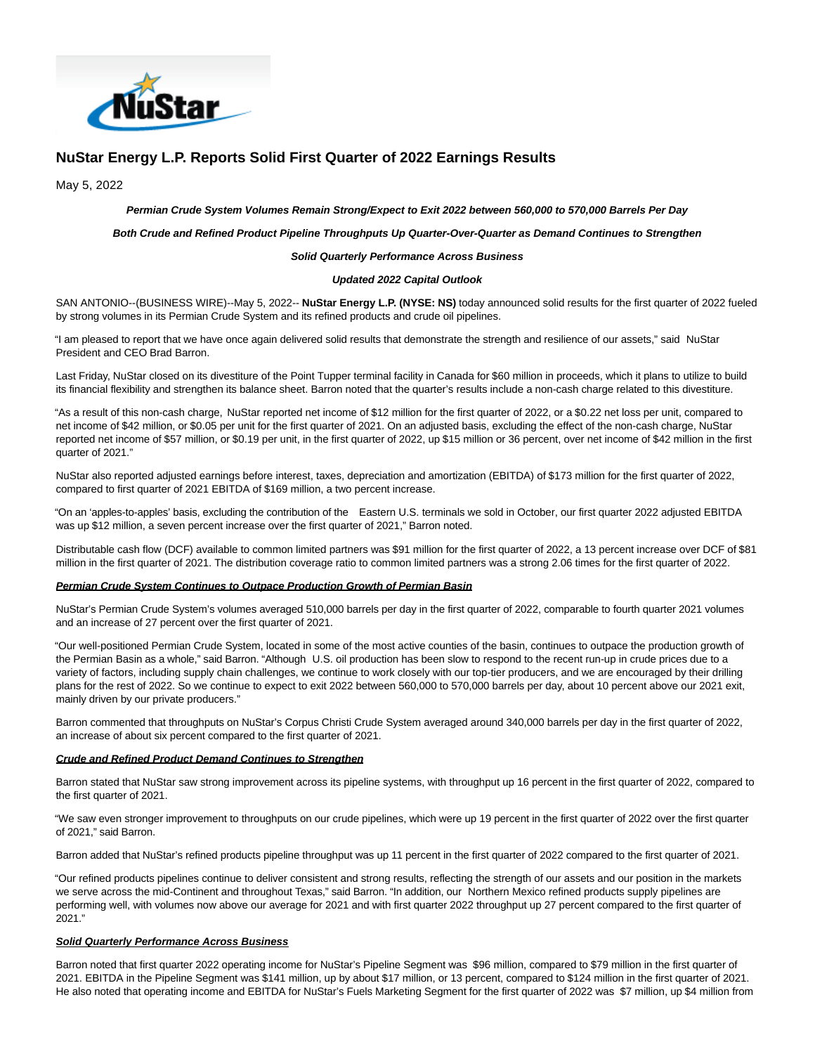

# **NuStar Energy L.P. Reports Solid First Quarter of 2022 Earnings Results**

May 5, 2022

**Permian Crude System Volumes Remain Strong/Expect to Exit 2022 between 560,000 to 570,000 Barrels Per Day**

**Both Crude and Refined Product Pipeline Throughputs Up Quarter-Over-Quarter as Demand Continues to Strengthen**

#### **Solid Quarterly Performance Across Business**

#### **Updated 2022 Capital Outlook**

SAN ANTONIO--(BUSINESS WIRE)--May 5, 2022-- **NuStar Energy L.P. (NYSE: NS)** today announced solid results for the first quarter of 2022 fueled by strong volumes in its Permian Crude System and its refined products and crude oil pipelines.

"I am pleased to report that we have once again delivered solid results that demonstrate the strength and resilience of our assets," said NuStar President and CEO Brad Barron.

Last Friday, NuStar closed on its divestiture of the Point Tupper terminal facility in Canada for \$60 million in proceeds, which it plans to utilize to build its financial flexibility and strengthen its balance sheet. Barron noted that the quarter's results include a non-cash charge related to this divestiture.

"As a result of this non-cash charge, NuStar reported net income of \$12 million for the first quarter of 2022, or a \$0.22 net loss per unit, compared to net income of \$42 million, or \$0.05 per unit for the first quarter of 2021. On an adjusted basis, excluding the effect of the non-cash charge, NuStar reported net income of \$57 million, or \$0.19 per unit, in the first quarter of 2022, up \$15 million or 36 percent, over net income of \$42 million in the first quarter of 2021."

NuStar also reported adjusted earnings before interest, taxes, depreciation and amortization (EBITDA) of \$173 million for the first quarter of 2022, compared to first quarter of 2021 EBITDA of \$169 million, a two percent increase.

"On an 'apples-to-apples' basis, excluding the contribution of the Eastern U.S. terminals we sold in October, our first quarter 2022 adjusted EBITDA was up \$12 million, a seven percent increase over the first quarter of 2021," Barron noted.

Distributable cash flow (DCF) available to common limited partners was \$91 million for the first quarter of 2022, a 13 percent increase over DCF of \$81 million in the first quarter of 2021. The distribution coverage ratio to common limited partners was a strong 2.06 times for the first quarter of 2022.

# **Permian Crude System Continues to Outpace Production Growth of Permian Basin**

NuStar's Permian Crude System's volumes averaged 510,000 barrels per day in the first quarter of 2022, comparable to fourth quarter 2021 volumes and an increase of 27 percent over the first quarter of 2021.

"Our well-positioned Permian Crude System, located in some of the most active counties of the basin, continues to outpace the production growth of the Permian Basin as a whole," said Barron. "Although U.S. oil production has been slow to respond to the recent run-up in crude prices due to a variety of factors, including supply chain challenges, we continue to work closely with our top-tier producers, and we are encouraged by their drilling plans for the rest of 2022. So we continue to expect to exit 2022 between 560,000 to 570,000 barrels per day, about 10 percent above our 2021 exit, mainly driven by our private producers."

Barron commented that throughputs on NuStar's Corpus Christi Crude System averaged around 340,000 barrels per day in the first quarter of 2022, an increase of about six percent compared to the first quarter of 2021.

#### **Crude and Refined Product Demand Continues to Strengthen**

Barron stated that NuStar saw strong improvement across its pipeline systems, with throughput up 16 percent in the first quarter of 2022, compared to the first quarter of 2021.

"We saw even stronger improvement to throughputs on our crude pipelines, which were up 19 percent in the first quarter of 2022 over the first quarter of 2021," said Barron.

Barron added that NuStar's refined products pipeline throughput was up 11 percent in the first quarter of 2022 compared to the first quarter of 2021.

"Our refined products pipelines continue to deliver consistent and strong results, reflecting the strength of our assets and our position in the markets we serve across the mid-Continent and throughout Texas," said Barron. "In addition, our Northern Mexico refined products supply pipelines are performing well, with volumes now above our average for 2021 and with first quarter 2022 throughput up 27 percent compared to the first quarter of 2021."

# **Solid Quarterly Performance Across Business**

Barron noted that first quarter 2022 operating income for NuStar's Pipeline Segment was \$96 million, compared to \$79 million in the first quarter of 2021. EBITDA in the Pipeline Segment was \$141 million, up by about \$17 million, or 13 percent, compared to \$124 million in the first quarter of 2021. He also noted that operating income and EBITDA for NuStar's Fuels Marketing Segment for the first quarter of 2022 was \$7 million, up \$4 million from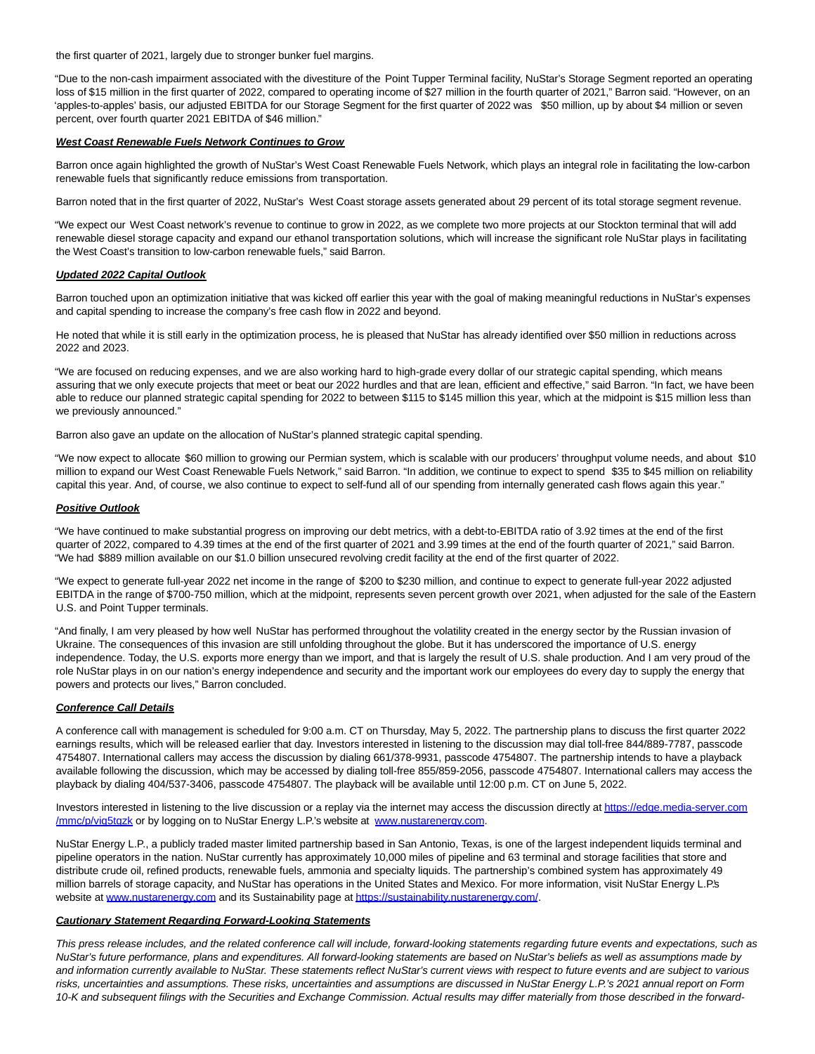the first quarter of 2021, largely due to stronger bunker fuel margins.

"Due to the non-cash impairment associated with the divestiture of the Point Tupper Terminal facility, NuStar's Storage Segment reported an operating loss of \$15 million in the first quarter of 2022, compared to operating income of \$27 million in the fourth quarter of 2021," Barron said. "However, on an 'apples-to-apples' basis, our adjusted EBITDA for our Storage Segment for the first quarter of 2022 was \$50 million, up by about \$4 million or seven percent, over fourth quarter 2021 EBITDA of \$46 million."

# **West Coast Renewable Fuels Network Continues to Grow**

Barron once again highlighted the growth of NuStar's West Coast Renewable Fuels Network, which plays an integral role in facilitating the low-carbon renewable fuels that significantly reduce emissions from transportation.

Barron noted that in the first quarter of 2022, NuStar's West Coast storage assets generated about 29 percent of its total storage segment revenue.

"We expect our West Coast network's revenue to continue to grow in 2022, as we complete two more projects at our Stockton terminal that will add renewable diesel storage capacity and expand our ethanol transportation solutions, which will increase the significant role NuStar plays in facilitating the West Coast's transition to low-carbon renewable fuels," said Barron.

#### **Updated 2022 Capital Outlook**

Barron touched upon an optimization initiative that was kicked off earlier this year with the goal of making meaningful reductions in NuStar's expenses and capital spending to increase the company's free cash flow in 2022 and beyond.

He noted that while it is still early in the optimization process, he is pleased that NuStar has already identified over \$50 million in reductions across 2022 and 2023.

"We are focused on reducing expenses, and we are also working hard to high-grade every dollar of our strategic capital spending, which means assuring that we only execute projects that meet or beat our 2022 hurdles and that are lean, efficient and effective," said Barron. "In fact, we have been able to reduce our planned strategic capital spending for 2022 to between \$115 to \$145 million this year, which at the midpoint is \$15 million less than we previously announced."

Barron also gave an update on the allocation of NuStar's planned strategic capital spending.

"We now expect to allocate \$60 million to growing our Permian system, which is scalable with our producers' throughput volume needs, and about \$10 million to expand our West Coast Renewable Fuels Network," said Barron. "In addition, we continue to expect to spend \$35 to \$45 million on reliability capital this year. And, of course, we also continue to expect to self-fund all of our spending from internally generated cash flows again this year."

# **Positive Outlook**

"We have continued to make substantial progress on improving our debt metrics, with a debt-to-EBITDA ratio of 3.92 times at the end of the first quarter of 2022, compared to 4.39 times at the end of the first quarter of 2021 and 3.99 times at the end of the fourth quarter of 2021," said Barron. "We had \$889 million available on our \$1.0 billion unsecured revolving credit facility at the end of the first quarter of 2022.

"We expect to generate full-year 2022 net income in the range of \$200 to \$230 million, and continue to expect to generate full-year 2022 adjusted EBITDA in the range of \$700-750 million, which at the midpoint, represents seven percent growth over 2021, when adjusted for the sale of the Eastern U.S. and Point Tupper terminals.

"And finally, I am very pleased by how well NuStar has performed throughout the volatility created in the energy sector by the Russian invasion of Ukraine. The consequences of this invasion are still unfolding throughout the globe. But it has underscored the importance of U.S. energy independence. Today, the U.S. exports more energy than we import, and that is largely the result of U.S. shale production. And I am very proud of the role NuStar plays in on our nation's energy independence and security and the important work our employees do every day to supply the energy that powers and protects our lives," Barron concluded.

# **Conference Call Details**

A conference call with management is scheduled for 9:00 a.m. CT on Thursday, May 5, 2022. The partnership plans to discuss the first quarter 2022 earnings results, which will be released earlier that day. Investors interested in listening to the discussion may dial toll-free 844/889-7787, passcode 4754807. International callers may access the discussion by dialing 661/378-9931, passcode 4754807. The partnership intends to have a playback available following the discussion, which may be accessed by dialing toll-free 855/859-2056, passcode 4754807. International callers may access the playback by dialing 404/537-3406, passcode 4754807. The playback will be available until 12:00 p.m. CT on June 5, 2022.

Investors interested in listening to the live discussion or a replay via the internet may access the discussion directly a[t https://edge.media-server.com](https://cts.businesswire.com/ct/CT?id=smartlink&url=https%3A%2F%2Fedge.media-server.com%2Fmmc%2Fp%2Fviq5tqzk&esheet=52709067&newsitemid=20220504006358&lan=en-US&anchor=https%3A%2F%2Fedge.media-server.com%2Fmmc%2Fp%2Fviq5tqzk&index=1&md5=86b5c9e3e3458fec7997d3457948771e) /mmc/p/viq5tqzk or by logging on to NuStar Energy L.P.'s website at [www.nustarenergy.com.](https://cts.businesswire.com/ct/CT?id=smartlink&url=http%3A%2F%2Fwww.nustarenergy.com&esheet=52709067&newsitemid=20220504006358&lan=en-US&anchor=www.nustarenergy.com&index=2&md5=67a60b01904ade3cc0d2d6d4396c98a5)

NuStar Energy L.P., a publicly traded master limited partnership based in San Antonio, Texas, is one of the largest independent liquids terminal and pipeline operators in the nation. NuStar currently has approximately 10,000 miles of pipeline and 63 terminal and storage facilities that store and distribute crude oil, refined products, renewable fuels, ammonia and specialty liquids. The partnership's combined system has approximately 49 million barrels of storage capacity, and NuStar has operations in the United States and Mexico. For more information, visit NuStar Energy L.P.'s website at [www.nustarenergy.com a](https://cts.businesswire.com/ct/CT?id=smartlink&url=http%3A%2F%2Fwww.nustarenergy.com&esheet=52709067&newsitemid=20220504006358&lan=en-US&anchor=www.nustarenergy.com&index=3&md5=d26311a65a9fa2384f6db997170d3d6f)nd its Sustainability page a[t https://sustainability.nustarenergy.com/.](https://cts.businesswire.com/ct/CT?id=smartlink&url=https%3A%2F%2Fsustainability.nustarenergy.com%2F&esheet=52709067&newsitemid=20220504006358&lan=en-US&anchor=https%3A%2F%2Fsustainability.nustarenergy.com%2F&index=4&md5=8dc2c483d3da8bac0f78ec0d766919c3)

# **Cautionary Statement Regarding Forward-Looking Statements**

This press release includes, and the related conference call will include, forward-looking statements regarding future events and expectations, such as NuStar's future performance, plans and expenditures. All forward-looking statements are based on NuStar's beliefs as well as assumptions made by and information currently available to NuStar. These statements reflect NuStar's current views with respect to future events and are subject to various risks, uncertainties and assumptions. These risks, uncertainties and assumptions are discussed in NuStar Energy L.P.'s 2021 annual report on Form 10-K and subsequent filings with the Securities and Exchange Commission. Actual results may differ materially from those described in the forward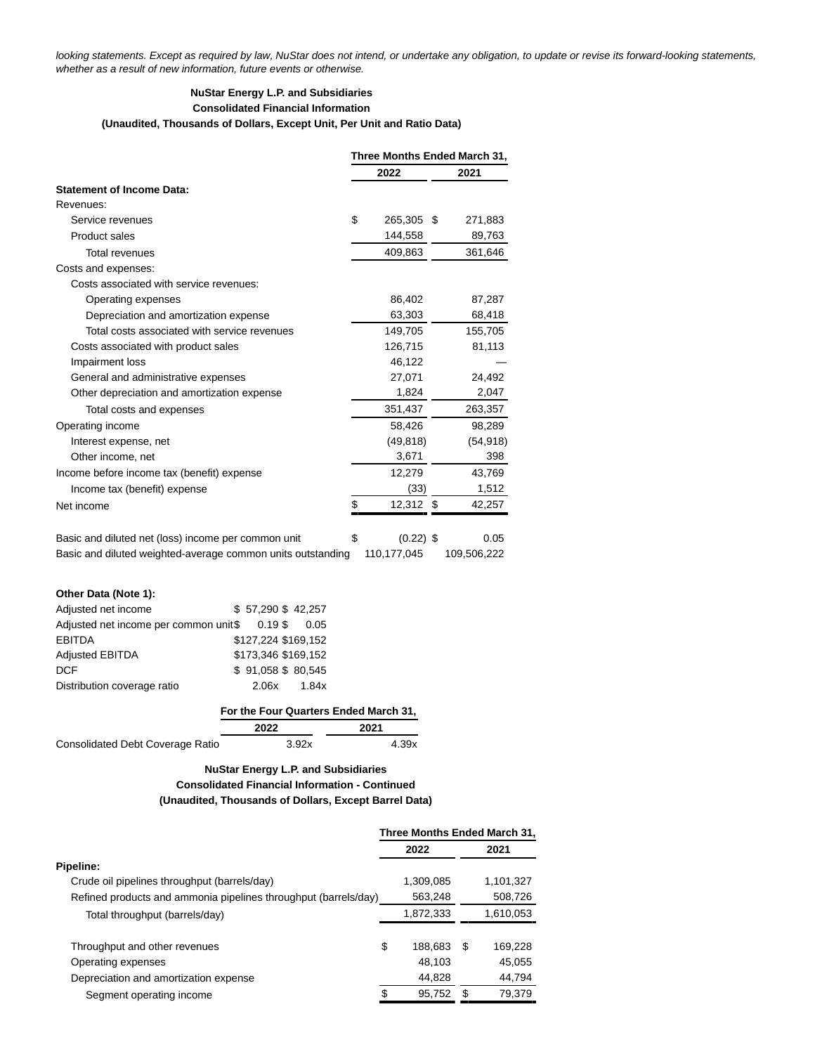looking statements. Except as required by law, NuStar does not intend, or undertake any obligation, to update or revise its forward-looking statements, whether as a result of new information, future events or otherwise.

# **NuStar Energy L.P. and Subsidiaries Consolidated Financial Information**

**(Unaudited, Thousands of Dollars, Except Unit, Per Unit and Ratio Data)**

|                                                             |                     | Three Months Ended March 31, |             |    |             |
|-------------------------------------------------------------|---------------------|------------------------------|-------------|----|-------------|
|                                                             |                     |                              | 2022        |    |             |
| <b>Statement of Income Data:</b>                            |                     |                              |             |    |             |
| Revenues:                                                   |                     |                              |             |    |             |
| Service revenues                                            |                     | \$                           | 265,305 \$  |    | 271,883     |
| <b>Product sales</b>                                        |                     |                              | 144,558     |    | 89,763      |
| Total revenues                                              |                     |                              | 409,863     |    | 361,646     |
| Costs and expenses:                                         |                     |                              |             |    |             |
| Costs associated with service revenues:                     |                     |                              |             |    |             |
| Operating expenses                                          |                     |                              | 86,402      |    | 87,287      |
| Depreciation and amortization expense                       |                     |                              | 63,303      |    | 68,418      |
| Total costs associated with service revenues                |                     |                              | 149,705     |    | 155,705     |
| Costs associated with product sales                         |                     |                              | 126,715     |    | 81,113      |
| Impairment loss                                             |                     |                              | 46,122      |    |             |
| General and administrative expenses                         |                     |                              | 27,071      |    | 24,492      |
| Other depreciation and amortization expense                 |                     |                              | 1,824       |    | 2,047       |
| Total costs and expenses                                    |                     |                              | 351,437     |    | 263,357     |
| Operating income                                            |                     |                              | 58,426      |    | 98,289      |
| Interest expense, net                                       |                     |                              | (49, 818)   |    | (54, 918)   |
| Other income, net                                           |                     |                              | 3,671       |    | 398         |
| Income before income tax (benefit) expense                  |                     |                              | 12,279      |    | 43,769      |
| Income tax (benefit) expense                                |                     |                              | (33)        |    | 1,512       |
| Net income                                                  |                     | \$                           | 12,312      | \$ | 42,257      |
| Basic and diluted net (loss) income per common unit         |                     | \$                           | $(0.22)$ \$ |    | 0.05        |
| Basic and diluted weighted-average common units outstanding |                     |                              | 110,177,045 |    | 109,506,222 |
| Other Data (Note 1):                                        |                     |                              |             |    |             |
| Adjusted net income                                         | \$57,290 \$42,257   |                              |             |    |             |
| Adjusted net income per common unit\$                       | 0.19S<br>0.05       |                              |             |    |             |
| <b>EBITDA</b>                                               | \$127,224 \$169,152 |                              |             |    |             |
| Adjusted EBITDA                                             | \$173,346 \$169,152 |                              |             |    |             |
| <b>DCF</b>                                                  | \$91,058 \$80,545   |                              |             |    |             |

| Distribution coverage ratio             | 2.06x | 1.84x |                                       |
|-----------------------------------------|-------|-------|---------------------------------------|
|                                         |       |       | For the Four Quarters Ended March 31, |
|                                         | 2022  |       | 2021                                  |
| <b>Consolidated Debt Coverage Ratio</b> |       | 3.92x | 4.39x                                 |

**NuStar Energy L.P. and Subsidiaries Consolidated Financial Information - Continued (Unaudited, Thousands of Dollars, Except Barrel Data)**

|                                                                 |     | Three Months Ended March 31, |     |           |  |
|-----------------------------------------------------------------|-----|------------------------------|-----|-----------|--|
|                                                                 |     | 2022                         |     | 2021      |  |
| Pipeline:                                                       |     |                              |     |           |  |
| Crude oil pipelines throughput (barrels/day)                    |     | 1.309.085                    |     | 1.101.327 |  |
| Refined products and ammonia pipelines throughput (barrels/day) |     | 563,248                      |     | 508,726   |  |
| Total throughput (barrels/day)                                  |     | 1,872,333                    |     | 1,610,053 |  |
| Throughput and other revenues                                   | \$  | 188.683                      | \$. | 169.228   |  |
| Operating expenses                                              |     | 48,103                       |     | 45,055    |  |
| Depreciation and amortization expense                           |     | 44.828                       |     | 44,794    |  |
| Segment operating income                                        | \$. | 95.752                       |     | 79.379    |  |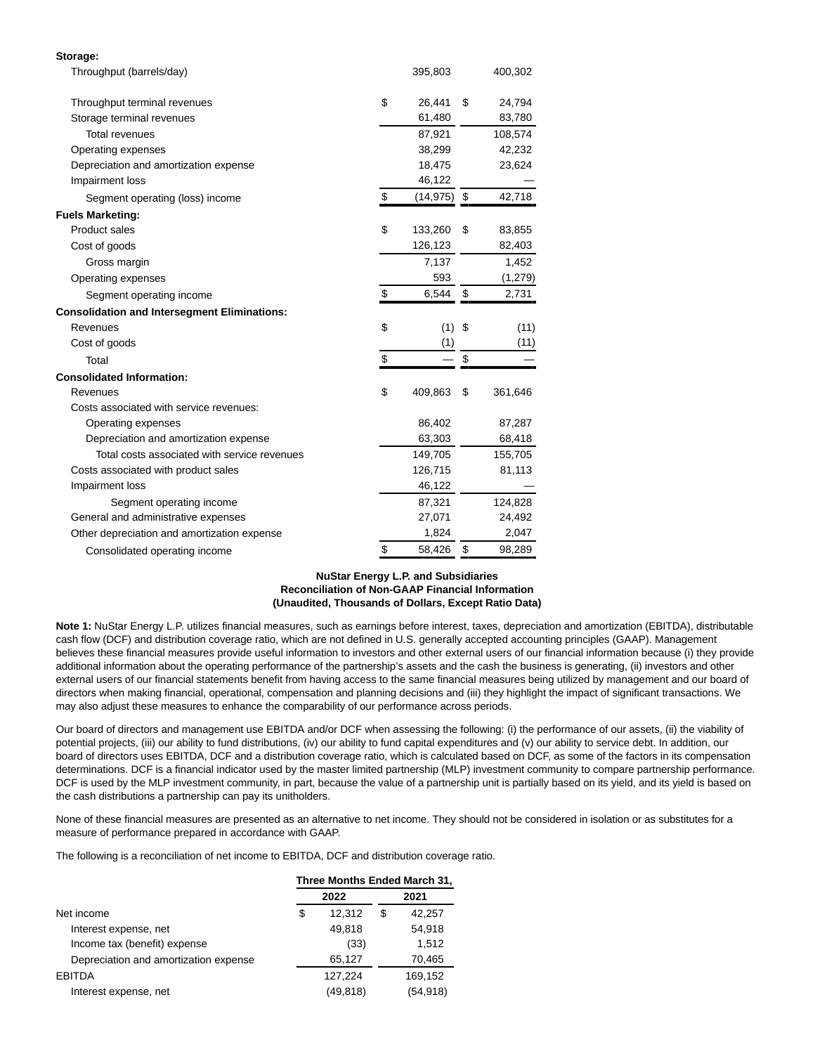#### **Storage:**

| Throughput (barrels/day)                            | 395,803              |      | 400,302  |
|-----------------------------------------------------|----------------------|------|----------|
| Throughput terminal revenues                        | \$<br>26,441         | \$   | 24,794   |
| Storage terminal revenues                           | 61,480               |      | 83,780   |
| <b>Total revenues</b>                               | 87,921               |      | 108,574  |
| Operating expenses                                  | 38,299               |      | 42,232   |
| Depreciation and amortization expense               | 18,475               |      | 23,624   |
| Impairment loss                                     | 46,122               |      |          |
| Segment operating (loss) income                     | \$<br>$(14, 975)$ \$ |      | 42,718   |
| <b>Fuels Marketing:</b>                             |                      |      |          |
| <b>Product sales</b>                                | \$<br>133,260        | \$   | 83,855   |
| Cost of goods                                       | 126,123              |      | 82,403   |
| Gross margin                                        | 7,137                |      | 1,452    |
| Operating expenses                                  | 593                  |      | (1, 279) |
| Segment operating income                            | \$<br>6,544          | \$   | 2,731    |
| <b>Consolidation and Intersegment Eliminations:</b> |                      |      |          |
| Revenues                                            | \$<br>(1)            | - \$ | (11)     |
| Cost of goods                                       | (1)                  |      | (11)     |
| Total                                               | \$                   | \$   |          |
| <b>Consolidated Information:</b>                    |                      |      |          |
| Revenues                                            | \$<br>409,863        | \$   | 361,646  |
| Costs associated with service revenues:             |                      |      |          |
| Operating expenses                                  | 86,402               |      | 87,287   |
| Depreciation and amortization expense               | 63,303               |      | 68,418   |
| Total costs associated with service revenues        | 149,705              |      | 155,705  |
| Costs associated with product sales                 | 126,715              |      | 81,113   |
| Impairment loss                                     | 46,122               |      |          |
| Segment operating income                            | 87,321               |      | 124,828  |
| General and administrative expenses                 | 27,071               |      | 24,492   |
| Other depreciation and amortization expense         | 1,824                |      | 2,047    |
| Consolidated operating income                       | \$<br>58,426         | \$   | 98,289   |

#### **NuStar Energy L.P. and Subsidiaries Reconciliation of Non-GAAP Financial Information (Unaudited, Thousands of Dollars, Except Ratio Data)**

**Note 1:** NuStar Energy L.P. utilizes financial measures, such as earnings before interest, taxes, depreciation and amortization (EBITDA), distributable cash flow (DCF) and distribution coverage ratio, which are not defined in U.S. generally accepted accounting principles (GAAP). Management believes these financial measures provide useful information to investors and other external users of our financial information because (i) they provide additional information about the operating performance of the partnership's assets and the cash the business is generating, (ii) investors and other external users of our financial statements benefit from having access to the same financial measures being utilized by management and our board of directors when making financial, operational, compensation and planning decisions and (iii) they highlight the impact of significant transactions. We may also adjust these measures to enhance the comparability of our performance across periods.

Our board of directors and management use EBITDA and/or DCF when assessing the following: (i) the performance of our assets, (ii) the viability of potential projects, (iii) our ability to fund distributions, (iv) our ability to fund capital expenditures and (v) our ability to service debt. In addition, our board of directors uses EBITDA, DCF and a distribution coverage ratio, which is calculated based on DCF, as some of the factors in its compensation determinations. DCF is a financial indicator used by the master limited partnership (MLP) investment community to compare partnership performance. DCF is used by the MLP investment community, in part, because the value of a partnership unit is partially based on its yield, and its yield is based on the cash distributions a partnership can pay its unitholders.

None of these financial measures are presented as an alternative to net income. They should not be considered in isolation or as substitutes for a measure of performance prepared in accordance with GAAP.

The following is a reconciliation of net income to EBITDA, DCF and distribution coverage ratio.

|                                       | Three Months Ended March 31, |           |   |          |  |
|---------------------------------------|------------------------------|-----------|---|----------|--|
|                                       | 2022                         |           |   | 2021     |  |
| Net income                            | \$                           | 12.312    | S | 42,257   |  |
| Interest expense, net                 |                              | 49,818    |   | 54.918   |  |
| Income tax (benefit) expense          |                              | (33)      |   | 1.512    |  |
| Depreciation and amortization expense |                              | 65,127    |   | 70,465   |  |
| <b>EBITDA</b>                         |                              | 127.224   |   | 169,152  |  |
| Interest expense, net                 |                              | (49, 818) |   | (54,918) |  |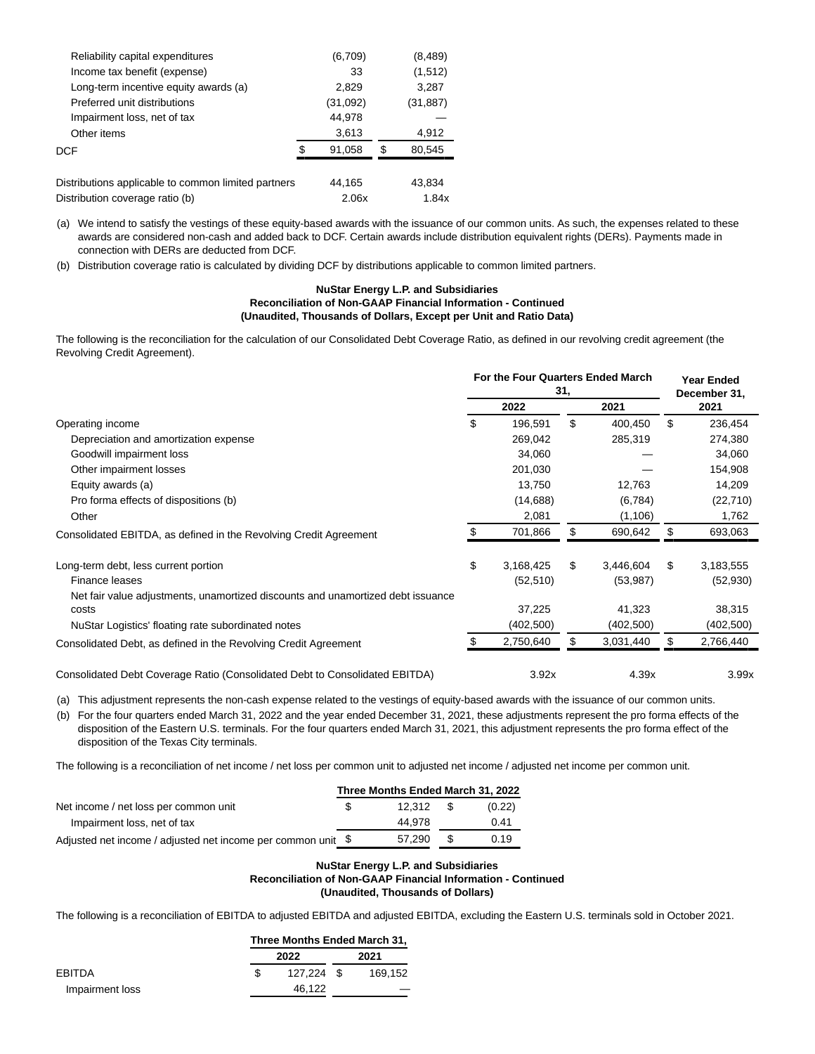| Reliability capital expenditures                    |   | (6,709)  |   | (8,489)   |
|-----------------------------------------------------|---|----------|---|-----------|
| Income tax benefit (expense)                        |   | 33       |   | (1,512)   |
| Long-term incentive equity awards (a)               |   | 2,829    |   | 3,287     |
| Preferred unit distributions                        |   | (31,092) |   | (31, 887) |
| Impairment loss, net of tax                         |   | 44.978   |   |           |
| Other items                                         |   | 3,613    |   | 4,912     |
| <b>DCF</b>                                          | S | 91,058   | S | 80.545    |
|                                                     |   |          |   |           |
| Distributions applicable to common limited partners |   | 44.165   |   | 43,834    |
| Distribution coverage ratio (b)                     |   | 2.06x    |   | 1.84x     |

(a) We intend to satisfy the vestings of these equity-based awards with the issuance of our common units. As such, the expenses related to these awards are considered non-cash and added back to DCF. Certain awards include distribution equivalent rights (DERs). Payments made in connection with DERs are deducted from DCF.

(b) Distribution coverage ratio is calculated by dividing DCF by distributions applicable to common limited partners.

#### **NuStar Energy L.P. and Subsidiaries Reconciliation of Non-GAAP Financial Information - Continued (Unaudited, Thousands of Dollars, Except per Unit and Ratio Data)**

The following is the reconciliation for the calculation of our Consolidated Debt Coverage Ratio, as defined in our revolving credit agreement (the Revolving Credit Agreement).

|                                                                                 | For the Four Quarters Ended March<br>31, |            |    | <b>Year Ended</b><br>December 31, |                 |
|---------------------------------------------------------------------------------|------------------------------------------|------------|----|-----------------------------------|-----------------|
|                                                                                 |                                          | 2022       |    | 2021                              | 2021            |
| Operating income                                                                | \$                                       | 196,591    | \$ | 400,450                           | \$<br>236,454   |
| Depreciation and amortization expense                                           |                                          | 269,042    |    | 285,319                           | 274,380         |
| Goodwill impairment loss                                                        |                                          | 34,060     |    |                                   | 34,060          |
| Other impairment losses                                                         |                                          | 201,030    |    |                                   | 154,908         |
| Equity awards (a)                                                               |                                          | 13,750     |    | 12,763                            | 14,209          |
| Pro forma effects of dispositions (b)                                           |                                          | (14,688)   |    | (6,784)                           | (22, 710)       |
| Other                                                                           |                                          | 2,081      |    | (1, 106)                          | 1,762           |
| Consolidated EBITDA, as defined in the Revolving Credit Agreement               |                                          | 701,866    |    | 690,642                           | \$<br>693,063   |
| Long-term debt, less current portion                                            | \$                                       | 3,168,425  | \$ | 3,446,604                         | \$<br>3,183,555 |
| Finance leases                                                                  |                                          | (52, 510)  |    | (53, 987)                         | (52, 930)       |
| Net fair value adjustments, unamortized discounts and unamortized debt issuance |                                          |            |    |                                   |                 |
| costs                                                                           |                                          | 37,225     |    | 41,323                            | 38,315          |
| NuStar Logistics' floating rate subordinated notes                              |                                          | (402, 500) |    | (402, 500)                        | (402, 500)      |
| Consolidated Debt, as defined in the Revolving Credit Agreement                 |                                          | 2,750,640  | \$ | 3,031,440                         | \$<br>2,766,440 |
| Consolidated Debt Coverage Ratio (Consolidated Debt to Consolidated EBITDA)     |                                          | 3.92x      |    | 4.39x                             | 3.99x           |

(a) This adjustment represents the non-cash expense related to the vestings of equity-based awards with the issuance of our common units.

(b) For the four quarters ended March 31, 2022 and the year ended December 31, 2021, these adjustments represent the pro forma effects of the disposition of the Eastern U.S. terminals. For the four quarters ended March 31, 2021, this adjustment represents the pro forma effect of the disposition of the Texas City terminals.

The following is a reconciliation of net income / net loss per common unit to adjusted net income / adjusted net income per common unit.

|                                                              | Three Months Ended March 31, 2022 |      |        |
|--------------------------------------------------------------|-----------------------------------|------|--------|
| Net income / net loss per common unit                        | 12.312                            | - \$ | (0.22) |
| Impairment loss, net of tax                                  | 44.978                            |      | 0.41   |
| Adjusted net income / adjusted net income per common unit \$ | 57.290                            | - \$ | 0.19   |

# **NuStar Energy L.P. and Subsidiaries Reconciliation of Non-GAAP Financial Information - Continued (Unaudited, Thousands of Dollars)**

The following is a reconciliation of EBITDA to adjusted EBITDA and adjusted EBITDA, excluding the Eastern U.S. terminals sold in October 2021.

|  | 2022   |  | 2021                                       |
|--|--------|--|--------------------------------------------|
|  |        |  | 169.152                                    |
|  | 46.122 |  |                                            |
|  |        |  | Three Months Ended March 31,<br>127.224 \$ |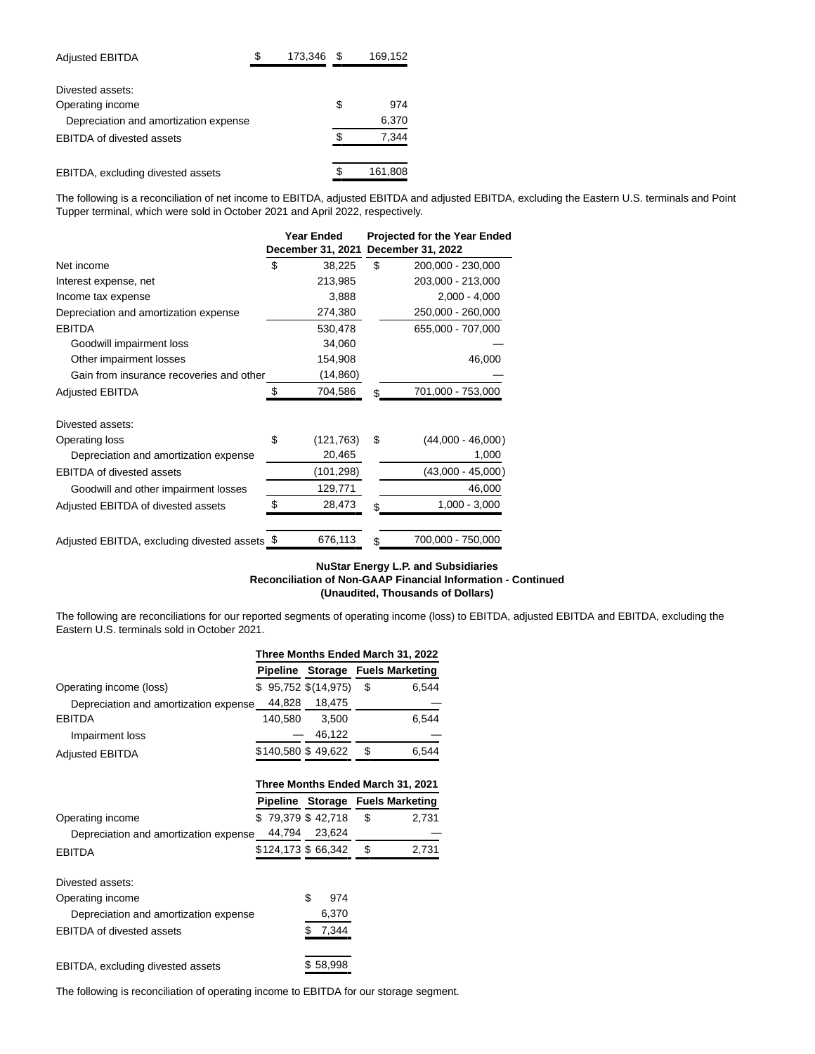| <b>Adjusted EBITDA</b>                   | S | 173,346 | \$. | 169,152 |
|------------------------------------------|---|---------|-----|---------|
| Divested assets:                         |   |         |     |         |
| Operating income                         |   |         | S   | 974     |
| Depreciation and amortization expense    |   |         |     | 6,370   |
| <b>EBITDA of divested assets</b>         |   |         |     | 7.344   |
| <b>EBITDA, excluding divested assets</b> |   |         |     | 161,808 |

The following is a reconciliation of net income to EBITDA, adjusted EBITDA and adjusted EBITDA, excluding the Eastern U.S. terminals and Point Tupper terminal, which were sold in October 2021 and April 2022, respectively.

|                                               | <b>Year Ended</b><br>December 31, 2021 |     | <b>Projected for the Year Ended</b><br>December 31, 2022 |
|-----------------------------------------------|----------------------------------------|-----|----------------------------------------------------------|
| Net income                                    | \$<br>38,225                           | \$  | 200,000 - 230,000                                        |
| Interest expense, net                         | 213,985                                |     | 203,000 - 213,000                                        |
| Income tax expense                            | 3,888                                  |     | $2,000 - 4,000$                                          |
| Depreciation and amortization expense         | 274,380                                |     | 250,000 - 260,000                                        |
| <b>EBITDA</b>                                 | 530,478                                |     | 655,000 - 707,000                                        |
| Goodwill impairment loss                      | 34,060                                 |     |                                                          |
| Other impairment losses                       | 154,908                                |     | 46,000                                                   |
| Gain from insurance recoveries and other      | (14, 860)                              |     |                                                          |
| <b>Adjusted EBITDA</b>                        | \$<br>704,586                          | \$  | 701,000 - 753,000                                        |
| Divested assets:                              |                                        |     |                                                          |
| Operating loss                                | \$<br>(121, 763)                       | \$  | $(44,000 - 46,000)$                                      |
| Depreciation and amortization expense         | 20,465                                 |     | 1,000                                                    |
| <b>EBITDA of divested assets</b>              | (101,298)                              |     | $(43,000 - 45,000)$                                      |
| Goodwill and other impairment losses          | 129,771                                |     | 46,000                                                   |
| Adjusted EBITDA of divested assets            | \$<br>28,473                           | \$. | $1,000 - 3,000$                                          |
| Adjusted EBITDA, excluding divested assets \$ | 676,113                                | \$  | 700,000 - 750,000                                        |

# **NuStar Energy L.P. and Subsidiaries Reconciliation of Non-GAAP Financial Information - Continued (Unaudited, Thousands of Dollars)**

The following are reconciliations for our reported segments of operating income (loss) to EBITDA, adjusted EBITDA and EBITDA, excluding the Eastern U.S. terminals sold in October 2021.

|                                       | Three Months Ended March 31, 2022 |                              |                                |  |  |  |  |
|---------------------------------------|-----------------------------------|------------------------------|--------------------------------|--|--|--|--|
|                                       | <b>Pipeline</b>                   |                              | <b>Storage Fuels Marketing</b> |  |  |  |  |
| Operating income (loss)               |                                   | $$95,752 \text{ $(14,975)$}$ | 6,544<br>S                     |  |  |  |  |
| Depreciation and amortization expense | 44.828                            | 18.475                       |                                |  |  |  |  |
| <b>EBITDA</b>                         | 140.580                           | 3.500                        | 6.544                          |  |  |  |  |
| Impairment loss                       |                                   | 46.122                       |                                |  |  |  |  |
| <b>Adjusted EBITDA</b>                | \$140,580 \$49,622                |                              | S<br>6.544                     |  |  |  |  |

|                                          | Three Months Ended March 31, 2021 |                    |                                  |
|------------------------------------------|-----------------------------------|--------------------|----------------------------------|
|                                          |                                   |                    | Pipeline Storage Fuels Marketing |
| Operating income                         | S.                                | 79.379 \$42.718    | S<br>2.731                       |
| Depreciation and amortization expense    | 44.794                            | 23.624             |                                  |
| <b>FBITDA</b>                            |                                   | \$124,173 \$66,342 | - \$<br>2,731                    |
| Divested assets:                         |                                   |                    |                                  |
| Operating income                         |                                   | S<br>974           |                                  |
| Depreciation and amortization expense    |                                   | 6,370              |                                  |
| <b>EBITDA of divested assets</b>         |                                   | 7,344              |                                  |
| <b>EBITDA, excluding divested assets</b> |                                   | 58,998             |                                  |

The following is reconciliation of operating income to EBITDA for our storage segment.